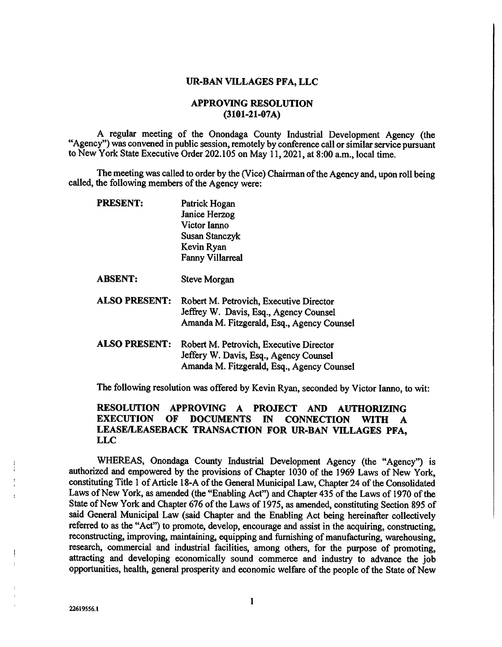## UR-BAN VILLAGES PFA, LLC

## APPROVING RESOLUTION (3101-21-07A)

A regular meeting of the Onondaga County Industrial Development Agency (the "Agency") was convened in public session, remotely by conference call or similar service pursuant to New York State Executive Order 202.105 on May 11, 2021, at 8:00 a.m., local time.

The meeting was called to order by the (Vice) Chairman of the Agency and, upon roll being called, the following members of the Agency were:

| PRESENT:             | Patrick Hogan                                                                                                                   |
|----------------------|---------------------------------------------------------------------------------------------------------------------------------|
|                      | Janice Herzog                                                                                                                   |
|                      | Victor Ianno                                                                                                                    |
|                      | Susan Stanczyk                                                                                                                  |
|                      | Kevin Ryan                                                                                                                      |
|                      | <b>Fanny Villarreal</b>                                                                                                         |
| <b>ABSENT:</b>       | Steve Morgan                                                                                                                    |
| <b>ALSO PRESENT:</b> | Robert M. Petrovich, Executive Director<br>Jeffrey W. Davis, Esq., Agency Counsel<br>Amanda M. Fitzgerald, Esq., Agency Counsel |
| <b>ALSO PRESENT:</b> | Robert M. Petrovich, Executive Director<br>Jeffery W. Davis, Esq., Agency Counsel<br>Amanda M. Fitzgerald, Esq., Agency Counsel |

The following resolution was offered by Kevin Ryan, seconded by Victor lanno, to wit:

## RESOLUTION APPROVING A PROJECT AND AUTHORIZING EXECUTION OF DOCUMENTS IN CONNECTION WITH A LEASE/LEASEBACK TRANSACTION FOR UR-BAN VILLAGES PFA, LLC

WHEREAS, Onondaga County Industrial Development Agency (the "Agency") is authorized and empowered by the provisions of Chapter 1030 of the 1969 Laws of New York, constituting Title 1 of Article 18-A of the General Municipal Law, Chapter 24 of the Consolidated Laws of New York, as amended (the "Enabling Act") and Chapter 435 of the Laws of 1970 of the State of New York and Chapter 676 of the Laws of 1975, as amended, constituting Section 895 of said General Municipal Law (said Chapter and the Enabling Act being hereinafter collectively referred to as the "Act") to promote, develop, encourage and assist in the acquiring, constructing, reconstructing, improving, maintaining, equipping and furnishing of manufacturing, warehousing, research, commercial and industrial facilities, among others, for the purpose of promoting, attracting and developing economically sound commerce and industry to advance the job opportunities, health, general prosperity and economic welfare of the people of the State of New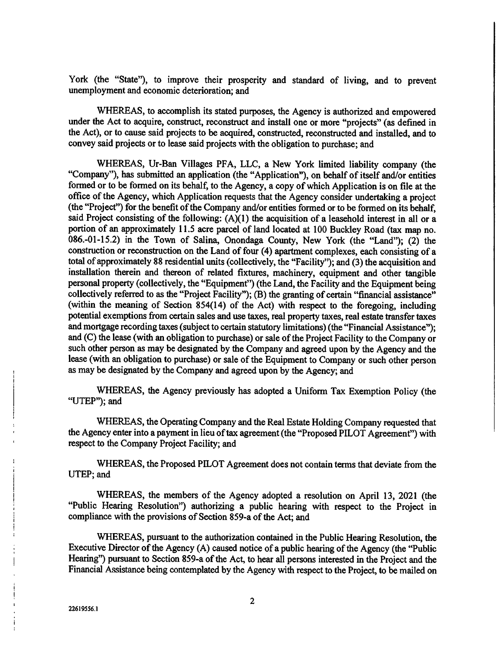York (the "State"), to improve their prosperity and standard of living, and to prevent unemployment and economic deterioration; and

WHEREAS, to accomplish its stated purposes, the Agency is authorized and empowered under the Act to acquire, construct, reconstruct and install one or more "projects" (as defined in the Act), or to cause said projects to be acquired, constructed, reconstructed and installed, and to convey said projects or to lease said projects with the obligation to purchase; and

WHEREAS, Ur-Ban Villages PFA, LLC, a New York limited liability company (the "Company"), has submitted an application (the "Application"), on behalf of itself and/or entities formed or to be formed on its behalf, to the Agency, a copy of which Application is on file at the office of the Agency, which Application requests that the Agency consider undertaking a project (the "Project") for the benefit of the Company and/or entities formed or to be formed on its behalf, said Project consisting of the following:  $(A)(1)$  the acquisition of a leasehold interest in all or a portion of an approximately 11.5 acre parcel of land located at 100 Buckley Road (tax map no. 086.-01-15.2) in the Town of Salina, Onondaga County, New York (the "Land"); (2) the construction or reconstruction on the Land of four (4) apartment complexes, each consisting of a total of approximately 88 residential units (collectively, the "Facility"); and (3) the acquisition and installation therein and thereon of related fixtures, machinery, equipment and other tangible personal property (collectively, the "Equipment") (the Land, the Facility and the Equipment being collectively referred to as the "Project Facility"); (B) the granting of certain "financial assistance" (within the meaning of Section 854(14) of the Act) with respect to the foregoing, including potential exemptions from certain sales and use taxes, real property taxes, real estate transfer taxes and mortgage recording taxes (subject to certain statutory limitations) (the "Financial Assistance"); and (C) the lease (with an obligation to purchase) or sale of the Project Facility to the Company or such other person as may be designated by the Company and agreed upon by the Agency and the lease (with an obligation to purchase) or sale of the Equipment to Company or such other person as may be designated by the Company and agreed upon by the Agency; and

WHEREAS, the Agency previously has adopted a Uniform Tax Exemption Policy (the "UTEP"); and

WHEREAS, the Operating Company and the Real Estate Holding Company requested that the Agency enter into a payment in lieu of tax agreement (the "Proposed PILOT Agreement") with respect to the Company Project Facility; and

WHEREAS, the Proposed PILOT Agreement does not contain terms that deviate from the UTEP; and

WHEREAS, the members of the Agency adopted a resolution on April 13, 2021 (the "Public Hearing Resolution") authorizing a public hearing with respect to the Project in compliance with the provisions of Section 859-a of the Act; and

WHEREAS, pursuant to the authorization contained in the Public Hearing Resolution, the Executive Director of the Agency (A) caused notice of a public hearing of the Agency (the "Public Hearing") pursuant to Section 859-a of the Act, to hear all persons interested in the Project and the Financial Assistance being contemplated by the Agency with respect to the Project, to be mailed on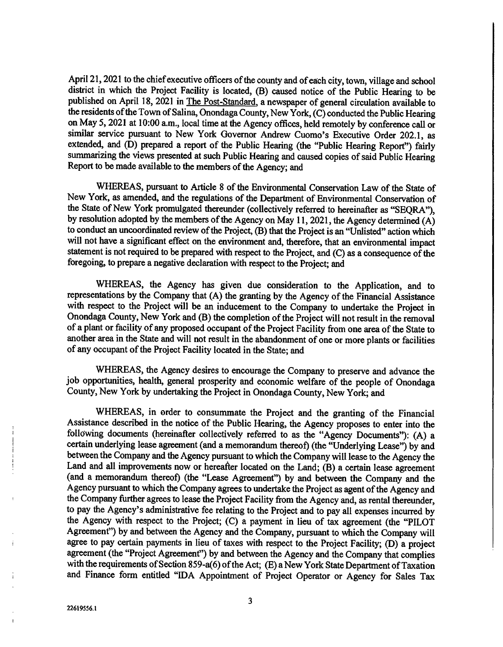April 21, 2021 to the chief executive officers of the county and of each city, town, village and school district in which the Project Facility is located, (B) caused notice of the Public Hearing to be published on April 18, 2021 in The Post-Standard, a newspaper of general circulation available to the residents of the Town of Salina, Onondaga County, New York, (C) conducted the Public Hearing on May 5, 2021 at 10:00 a.m., local time at the Agency offices, held remotely by conference call or similar service pursuant to New York Governor Andrew Cuomo's Executive Order 202.1, as extended, and (D) prepared a report of the Public Hearing (the "Public Hearing Report") fairly summarizing the views presented at such Public Hearing and caused copies of said Public Hearing Report to be made available to the members of the Agency; and

WHEREAS, pursuant to Article 8 of the Environmental Conservation Law of the State of New York, as amended, and the regulations of the Department of Environmental Conservation of the State of New York promulgated thereunder (collectively referred to hereinafter as "SEQRA"), by resolution adopted by the members of the Agency on May 11, 2021, the Agency determined (A) to conduct an uncoordinated review of the Project, (B) that the Project is an "Unlisted" action which will not have a significant effect on the environment and, therefore, that an environmental impact statement is not required to be prepared with respect to the Project, and (C) as a consequence of the foregoing, to prepare a negative declaration with respect to the Project; and

WHEREAS, the Agency has given due consideration to the Application, and to representations by the Company that (A) the granting by the Agency of the Financial Assistance with respect to the Project will be an inducement to the Company to undertake the Project in Onondaga County, New York and (B) the completion of the Project will not result in the removal of a plant or facility of any proposed occupant of the Project Facility from one area of the State to another area in the State and will not result in the abandonment of one or more plants or facilities of any occupant of the Project Facility located in the State; and

WHEREAS, the Agency desires to encourage the Company to preserve and advance the job opportunities, health, general prosperity and economic welfare of the people of Onondaga County, New York by undertaking the Project in Onondaga County, New York; and

WHEREAS, in order to consummate the Project and the granting of the Financial Assistance described in the notice of the Public Hearing, the Agency proposes to enter into the following documents (hereinafter collectively referred to as the "Agency Documents"): (A) a certain underlying lease agreement (and a memorandum thereof) (the "Underlying Lease") by and between the Company and the Agency pursuant to which the Company will lease to the Agency the Land and all improvements now or hereafter located on the Land; (B) a certain lease agreement (and a memorandum thereof) (the "Lease Agreement") by and between the Company and the Agency pursuant to which the Company agrees to undertake the Project as agent of the Agency and the Company further agrees to lease the Project Facility from the Agency and, as rental thereunder, to pay the Agency's administrative fee relating to the Project and to pay all expenses incurred by the Agency with respect to the Project; (C) a payment in lieu of tax agreement (the "PILOT Agreement") by and between the Agency and the Company, pursuant to which the Company will agree to pay certain payments in lieu of taxes with respect to the Project Facility; (D) a project agreement (the "Project Agreement") by and between the Agency and the Company that complies with the requirements of Section 859-a(6) of the Act; (E) a New York State Department of Taxation and Finance form entitled "IDA Appointment of Project Operator or Agency for Sales Tax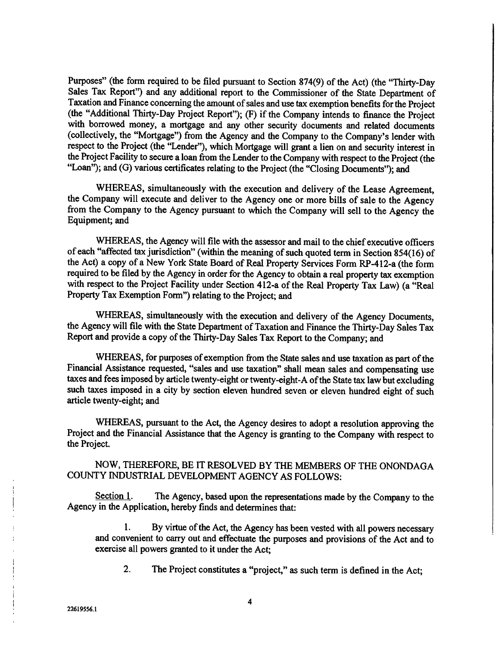Purposes" (the form required to be filed pursuant to Section 874(9) of the Act) (the "Thirty-Day Sales Tax Report") and any additional report to the Commissioner of the State Department of Taxation and Finance concerning the amount of sales and use tax exemption benefits for the Project (the "Additional Thirty-Day Project Report"); (F) if the Company intends to finance the Project with borrowed money, a mortgage and any other security documents and related documents (collectively, the "Mortgage") from the Agency and the Company to the Company's lender with respect to the Project (the "Lender"), which Mortgage will grant a lien on and security interest in the Project Facility to secure a loan from the Lender to the Company with respect to the Project (the "Loan"); and (G) various certificates relating to the Project (the "Closing Documents"); and

WHEREAS, simultaneously with the execution and delivery of the Lease Agreement, the Company will execute and deliver to the Agency one or more bills of sale to the Agency from the Company to the Agency pursuant to which the Company will sell to the Agency the Equipment; and

WHEREAS, the Agency will file with the assessor and mail to the chief executive officers of each "affected tax jurisdiction" (within the meaning of such quoted term in Section 854(16) of the Act) a copy of a New York State Board of Real Property Services Form RP-412-a (the form required to be filed by the Agency in order for the Agency to obtain a real property tax exemption with respect to the Project Facility under Section 412-a of the Real Property Tax Law) (a "Real Property Tax Exemption Form") relating to the Project; and

WHEREAS, simultaneously with the execution and delivery of the Agency Documents, the Agency will file with the State Department of Taxation and Finance the Thirty-Day Sales Tax Report and provide a copy of the Thirty-Day Sales Tax Report to the Company; and

WHEREAS, for purposes of exemption from the State sales and use taxation as part of the Financial Assistance requested, "sales and use taxation" shall mean sales and compensating use taxes and fees imposed by article twenty-eight or twenty-eight-A of the State tax law but excluding such taxes imposed in a city by section eleven hundred seven or eleven hundred eight of such article twenty-eight; and

WHEREAS, pursuant to the Act, the Agency desires to adopt a resolution approving the Project and the Financial Assistance that the Agency is granting to the Company with respect to the Project.

NOW, THEREFORE, BE IT RESOLVED BY THE MEMBERS OF THE ONONDAGA COUNTY INDUSTRIAL DEVELOPMENT AGENCY AS FOLLOWS:

Section 1. The Agency, based upon the representations made by the Company to the Agency in the Application, hereby finds and determines that:

1. By virtue of the Act, the Agency has been vested with all powers necessary and convenient to carry out and effectuate the purposes and provisions of the Act and to exercise all powers granted to it under the Act;

2. The Project constitutes a "project," as such term is defined in the Act;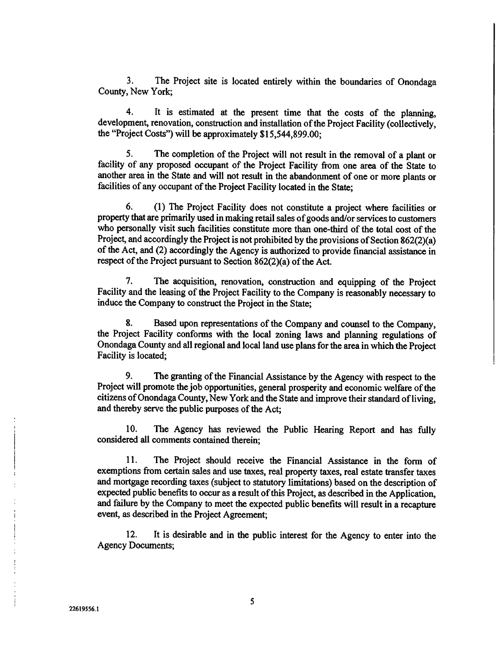3. The Project site is located entirely within the boundaries of Onondaga County, New York;

4. It is estimated at the present time that the costs of the planning, development, renovation, construction and installation of the Project Facility (collectively, the "Project Costs") will be approximately \$15,544,899.00;

5. The completion of the Project will not result in the removal of a plant or facility of any proposed occupant of the Project Facility from one area of the State to another area in the State and will not result in the abandonment of one or more plants or facilities of any occupant of the Project Facility located in the State;

6. (1) The Project Facility does not constitute a project where facilities or property that are primarily used in making retail sales of goods and/or services to customers who personally visit such facilities constitute more than one-third of the total cost of the Project, and accordingly the Project is not prohibited by the provisions of Section 862(2)(a) of the Act, and (2) accordingly the Agency is authorized to provide financial assistance in respect of the Project pursuant to Section 862(2)(a) of the Act.

7. The acquisition, renovation, construction and equipping of the Project Facility and the leasing of the Project Facility to the Company is reasonably necessary to induce the Company to construct the Project in the State;

8. Based upon representations of the Company and counsel to the Company, the Project Facility conforms with the local zoning laws and planning regulations of Onondaga County and all regional and local land use plans for the area in which the Project Facility is located;

9. The granting of the Financial Assistance by the Agency with respect to the Project will promote the job opportunities, general prosperity and economic welfare of the citizens of Onondaga County, New York and the State and improve their standard of living, and thereby serve the public purposes of the Act;

10. The Agency has reviewed the Public Hearing Report and has fully considered all comments contained therein;

11. The Project should receive the Financial Assistance in the form of exemptions from certain sales and use taxes, real property taxes, real estate transfer taxes and mortgage recording taxes (subject to statutory limitations) based on the description of expected public benefits to occur as a result of this Project, as described in the Application, and failure by the Company to meet the expected public benefits will result in a recapture event, as described in the Project Agreement;

12. It is desirable and in the public interest for the Agency to enter into the Agency Documents;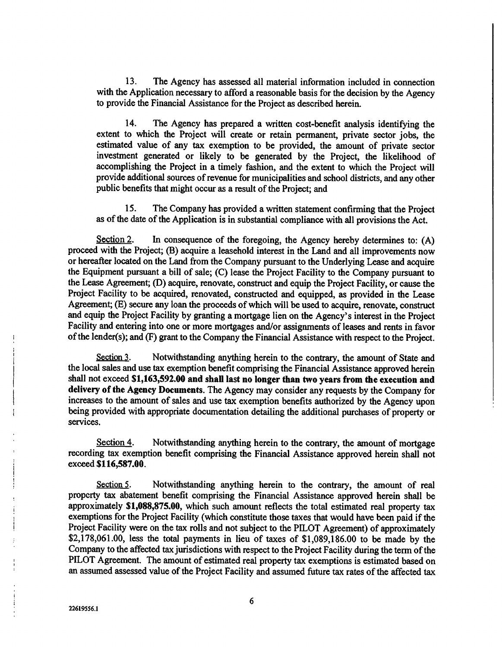13. The Agency has assessed all material information included in connection with the Application necessary to afford a reasonable basis for the decision by the Agency to provide the Financial Assistance for the Project as described herein.

14. The Agency has prepared a written cost-benefit analysis identifying the extent to which the Project will create or retain permanent, private sector jobs, the estimated value of any tax exemption to be provided, the amount of private sector investment generated or likely to be generated by the Project, the likelihood of accomplishing the Project in a timely fashion, and the extent to which the Project will provide additional sources of revenue for municipalities and school districts, and any other public benefits that might occur as a result of the Project; and

15. The Company has provided a written statement confirming that the Project as of the date of the Application is in substantial compliance with all provisions the Act.

Section 2. In consequence of the foregoing, the Agency hereby determines to: (A) proceed with the Project; (B) acquire a leasehold interest in the Land and all improvements now or hereafter located on the Land from the Company pursuant to the Underlying Lease and acquire the Equipment pursuant a bill of sale; (C) lease the Project Facility to the Company pursuant to the Lease Agreement; (D) acquire, renovate, construct and equip the Project Facility, or cause the Project Facility to be acquired, renovated, constructed and equipped, as provided in the Lease Agreement; (E) secure any loan the proceeds of which will be used to acquire, renovate, construct and equip the Project Facility by granting a mortgage lien on the Agency's interest in the Project Facility and entering into one or more mortgages and/or assignments of leases and rents in favor of the lender(s); and (F) grant to the Company the Financial Assistance with respect to the Project.

Section 3. Notwithstanding anything herein to the contrary, the amount of State and the local sales and use tax exemption benefit comprising the Financial Assistance approved herein shall not exceed \$1,163,592.00 and shall last no longer than two years from the execution and delivery of the Agency Documents. The Agency may consider any requests by the Company for increases to the amount of sales and use tax exemption benefits authorized by the Agency upon being provided with appropriate documentation detailing the additional purchases of property or services.

Section 4. Notwithstanding anything herein to the contrary, the amount of mortgage recording tax exemption benefit comprising the Financial Assistance approved herein shall not exceed \$116,587.00.

Section 5. Notwithstanding anything herein to the contrary, the amount of real property tax abatement benefit comprising the Financial Assistance approved herein shall be approximately \$1,088,875.00, which such amount reflects the total estimated real property tax exemptions for the Project Facility (which constitute those taxes that would have been paid if the Project Facility were on the tax rolls and not subject to the PILOT Agreement) of approximately \$2,178,061.00, less the total payments in lieu of taxes of \$1,089,186.00 to be made by the Company to the affected tax jurisdictions with respect to the Project Facility during the term of the PILOT Agreement. The amount of estimated real property tax exemptions is estimated based on an assumed assessed value of the Project Facility and assumed future tax rates of the affected tax

6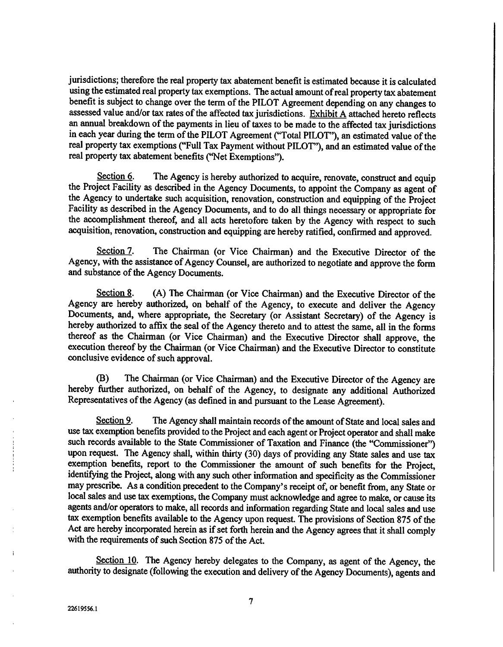jurisdictions; therefore the real property tax abatement benefit is estimated because it is calculated using the estimated real property tax exemptions. The actual amount of real property tax abatement benefit is subject to change over the term of the PILOT Agreement depending on any changes to assessed value and/or tax rates of the affected tax jurisdictions. Exhibit A attached hereto reflects an annual breakdown of the payments in lieu of taxes to be made to the affected tax jurisdictions in each year during the term of the PILOT Agreement ("Total PILOT"), an estimated value of the real property tax exemptions ("Full Tax Payment without PILOT"), and an estimated value of the real property tax abatement benefits ("Net Exemptions").

Section  $6.$  The Agency is hereby authorized to acquire, renovate, construct and equip the Project Facility as described in the Agency Documents, to appoint the Company as agent of the Agency to undertake such acquisition, renovation, construction and equipping of the Project Facility as described in the Agency Documents, and to do all things necessary or appropriate for the accomplishment thereof, and all acts heretofore taken by the Agency with respect to such acquisition, renovation, construction and equipping are hereby ratified, confirmed and approved.

Section 7. The Chairman (or Vice Chairman) and the Executive Director of the Agency, with the assistance of Agency Counsel, are authorized to negotiate and approve the form and substance of the Agency Documents.

Section 8. (A) The Chairman (or Vice Chairman) and the Executive Director of the Agency are hereby authorized, on behalf of the Agency, to execute and deliver the Agency Documents, and, where appropriate, the Secretary (or Assistant Secretary) of the Agency is hereby authorized to affix the seal of the Agency thereto and to attest the same, all in the forms thereof as the Chairman (or Vice Chairman) and the Executive Director shall approve, the execution thereof by the Chairman (or Vice Chairman) and the Executive Director to constitute conclusive evidence of such approval.

(B) The Chairman (or Vice Chairman) and the Executive Director of the Agency are hereby further authorized, on behalf of the Agency, to designate any additional Authorized Representatives of the Agency (as defined in and pursuant to the Lease Agreement).

Section 9. The Agency shall maintain records of the amount of State and local sales and use tax exemption benefits provided to the Project and each agent or Project operator and shall make such records available to the State Commissioner of Taxation and Finance (the "Commissioner") upon request. The Agency shall, within thirty (30) days of providing any State sales and use tax exemption benefits, report to the Commissioner the amount of such benefits for the Project, identifying the Project, along with any such other information and specificity as the Commissioner may prescribe. As a condition precedent to the Company's receipt of, or benefit from, any State or local sales and use tax exemptions, the Company must acknowledge and agree to make, or cause its agents and/or operators to make, all records and information regarding State and local sales and use tax exemption benefits available to the Agency upon request. The provisions of Section 875 of the Act are hereby incorporated herein as if set forth herein and the Agency agrees that it shall comply with the requirements of such Section 875 of the Act.

Section 10. The Agency hereby delegates to the Company, as agent of the Agency, the authority to designate (following the execution and delivery of the Agency Documents), agents and

7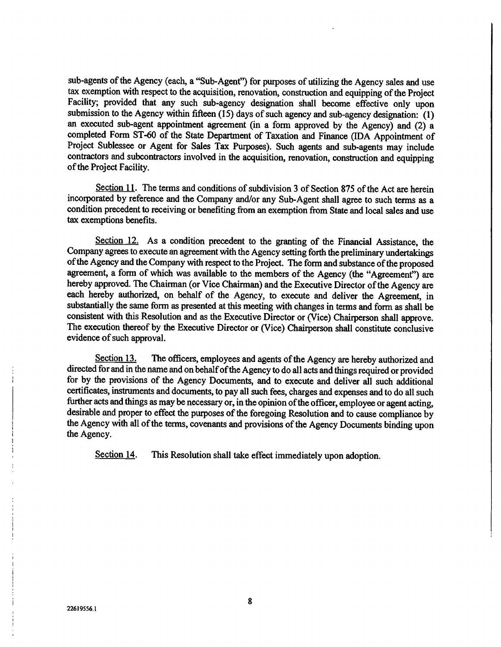sub-agents of the Agency (each, a "Sub-Agent") for purposes of utilizing the Agency sales and use tax exemption with respect to the acquisition, renovation, construction and equipping of the Project Facility; provided that any such sub-agency designation shall become effective only upon submission to the Agency within fifteen (15) days of such agency and sub-agency designation: (1) an executed sub-agent appointment agreement (in a form approved by the Agency) and (2) a completed Form ST-60 of the State Department of Taxation and Finance (IDA Appointment of Project Sublessee or Agent for Sales Tax Purposes). Such agents and sub-agents may include contractors and subcontractors involved in the acquisition, renovation, construction and equipping of the Project Facility.

Section 11. The terms and conditions of subdivision 3 of Section 875 of the Act are herein incorporated by reference and the Company and/or any Sub-Agent shall agree to such terms as a condition precedent to receiving or benefiting from an exemption from State and local sales and use tax exemptions benefits.

Section 12. As a condition precedent to the granting of the Financial Assistance, the Company agrees to execute an agreement with the Agency setting forth the preliminary undertakings of the Agency and the Company with respect to the Project. The form and substance of the proposed agreement, a form of which was available to the members of the Agency (the "Agreement") are hereby approved. The Chairman (or Vice Chairman) and the Executive Director of the Agency are each hereby authorized, on behalf of the Agency, to execute and deliver the Agreement, in substantially the same form as presented at this meeting with changes in terms and form as shall be consistent with this Resolution and as the Executive Director or (Vice) Chairperson shall approve. The execution thereof by the Executive Director or (Vice) Chairperson shall constitute conclusive evidence of such approval.

Section 13. The officers, employees and agents of the Agency are hereby authorized and directed for and in the name and on behalf of the Agency to do all acts and things required or provided for by the provisions of the Agency Documents, and to execute and deliver all such additional certificates, instruments and documents, to pay all such fees, charges and expenses and to do all such further acts and things as may be necessary or, in the opinion of the officer, employee or agent acting, desirable and proper to effect the purposes of the foregoing Resolution and to cause compliance by the Agency with all of the terms, covenants and provisions of the Agency Documents binding upon the Agency.

Section 14. This Resolution shall take effect immediately upon adoption.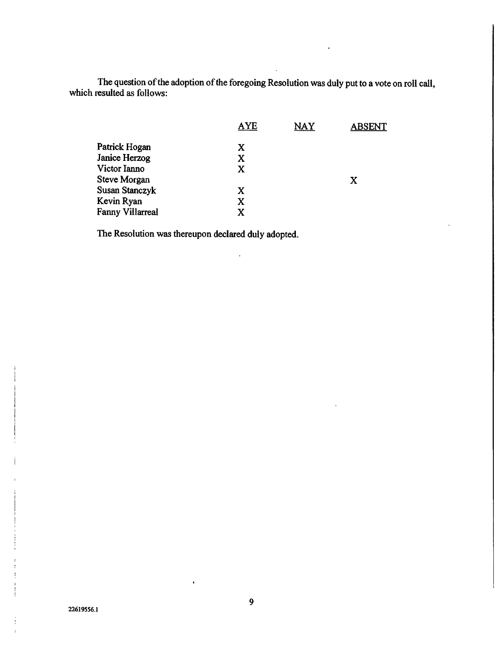The question of the adoption of the foregoing Resolution was duly put to a vote on roll call, which resulted as follows:

|                  | <b>AYE</b> | <b>NAY</b> | <b>ABSENT</b> |
|------------------|------------|------------|---------------|
| Patrick Hogan    | X          |            |               |
| Janice Herzog    | X          |            |               |
| Victor Ianno     | X          |            |               |
| Steve Morgan     |            |            | X             |
| Susan Stanczyk   | X          |            |               |
| Kevin Ryan       | X          |            |               |
| Fanny Villarreal | X          |            |               |
|                  |            |            |               |

 $\ddot{\phantom{a}}$ 

The Resolution was thereupon declared duly adopted.

9

 $\bar{\textbf{t}}$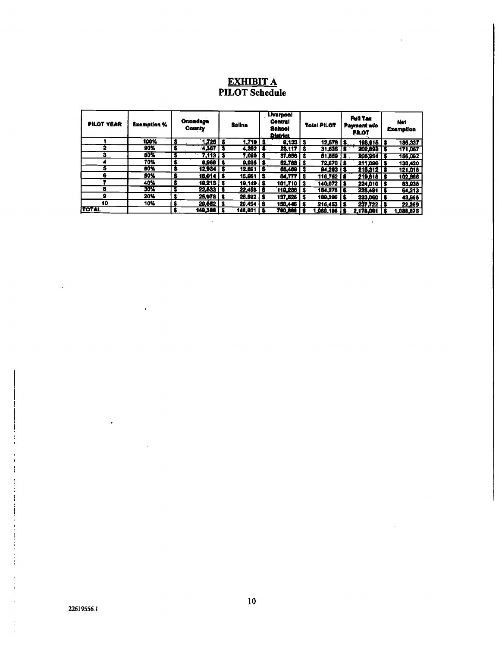## EXHIBIT A PILOT Schedule

| <b>PILOT YEAR</b> | Exemption % | <b>Onondega</b><br><b>County</b> |                        | <b>Salina</b> |                         | <b>Liverpool</b><br><b>Central</b><br>School<br><b>District</b> |                      | Total PILOT |                | Full Tax<br>Payment w/o<br><b>PILOT</b> |                | <b>Net</b><br>Exemption |         |
|-------------------|-------------|----------------------------------|------------------------|---------------|-------------------------|-----------------------------------------------------------------|----------------------|-------------|----------------|-----------------------------------------|----------------|-------------------------|---------|
|                   | 100%        | - 5                              | $1.726$ $\overline{ }$ | s             | $1,719$ 3               |                                                                 | $0,133$   \$         |             | 12,578         |                                         | 198,915 5      |                         | 186,337 |
|                   | 90%         | S                                | 4,367                  |               | $4,362$   \$            |                                                                 | 23.117   S           |             | 31.836         | 18                                      | $202.893$ $5$  |                         | 171,067 |
| я                 | 80%         | 3                                | $7.113$ S              |               | $7,000$ $5$             |                                                                 | $37,656$   $3$       |             | 61.859         | 18.                                     | $206,951$   \$ |                         | 155,092 |
|                   | 70%         | l S                              | <b>0.968 S</b>         |               | $9.935$ $3$             |                                                                 | <b>52.768 S</b>      |             | 72.670 1\$     |                                         | 211:000 S      |                         | 138,420 |
|                   | 60%         | Γ\$                              | $12.934$   S           |               | 12.691   \$             |                                                                 | 68,469 3             |             | 94.293 13      |                                         | 215.312 5      |                         | 121,018 |
|                   | 50%         | 18                               | 16,014   \$            |               | $15.061$ $\overline{3}$ |                                                                 | 84.777 5             |             | 116.762   S    |                                         | 219.618 5      |                         | 102,866 |
|                   | 40%         | S                                | $19.213$ $3$           |               | 19,149   \$             |                                                                 | 101,710 S            |             | $140.072$   \$ |                                         | 224.010 S      |                         | 83,938  |
|                   | 30%         | S                                | $22,633$   \$          |               | $22,458$   S            |                                                                 | 110,286 S            |             | 164.278   \$   |                                         | 228.491   \$   |                         | 64,213  |
|                   | 20%         | s                                | $25,078$   \$          |               | 26.892 5                |                                                                 | $137,526$ $\vert$ \$ |             | 189,396   \$   |                                         | 233,060 \$     |                         | 43,665  |
| 10                | 10%         | Ŝ                                | 29.552 S               |               | 29,454 5                |                                                                 | 156,446   \$         |             | 216,453        | I\$                                     | $237.722$ S    |                         | 22,269  |
| <b>TOTAL</b>      |             |                                  | 140,308 5              |               | 148,901 5               |                                                                 | <b>790,0881</b>      |             | 1,089,186      |                                         | 2.178.061      |                         | 088.875 |

 $\hat{\mathcal{A}}$ 

 $\hat{\mathcal{A}}$ 

 $\overline{a}$